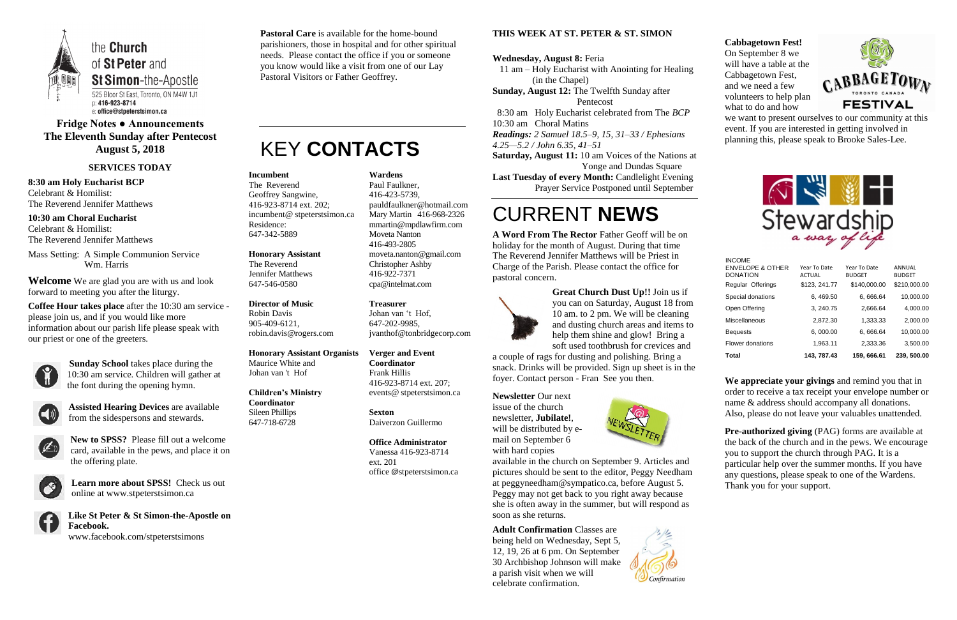

### **Fridge Notes ● Announcements The Eleventh Sunday after Pentecost August 5, 2018**

### **SERVICES TODAY**

**8:30 am Holy Eucharist BCP** Celebrant & Homilist: The Reverend Jennifer Matthews

**10:30 am Choral Eucharist** Celebrant & Homilist: The Reverend Jennifer Matthews

Mass Setting: A Simple Communion Service Wm. Harris

**Welcome** We are glad you are with us and look forward to meeting you after the liturgy.

**Coffee Hour takes place** after the 10:30 am service please join us, and if you would like more information about our parish life please speak with our priest or one of the greeters.



**Sunday School** takes place during the 10:30 am service. Children will gather at the font during the opening hymn.



**Assisted Hearing Devices** are available from the sidespersons and stewards.



**New to SPSS?** Please fill out a welcome card, available in the pews, and place it on the offering plate.



**Learn more about SPSS!** Check us out online at www.stpeterstsimon.ca

**Like St Peter & St Simon-the-Apostle on Facebook.**  www.facebook.com/stpeterstsimons

**Pastoral Care** is available for the home-bound parishioners, those in hospital and for other spiritual needs. Please contact the office if you or someone you know would like a visit from one of our Lay Pastoral Visitors or Father Geoffrey.

### KEY **CONTACTS**

### **THIS WEEK AT ST. PETER & ST. SIMON**

#### **Wednesday, August 8:** Feria

 11 am – Holy Eucharist with Anointing for Healing (in the Chapel)

**Sunday, August 12:** The Twelfth Sunday after Pentecost

8:30 am Holy Eucharist celebrated from The *BCP*

10:30 am Choral Matins

*Readings: 2 Samuel 18.5–9, 15, 31–33 / Ephesians* 

*4.25—5.2 / John 6.35, 41–51*

**Saturday, August 11:** 10 am Voices of the Nations at Yonge and Dundas Square

**Last Tuesday of every Month:** Candlelight Evening Prayer Service Postponed until September

## CURRENT **NEWS**

**Pre-authorized giving (PAG) forms are available at** the back of the church and in the pews. We encourage you to support the church through PAG. It is a particular help over the summer months. If you have any questions, please speak to one of the Wardens. Thank you for your support.

**A Word From The Rector** Father Geoff will be on holiday for the month of August. During that time The Reverend Jennifer Matthews will be Priest in Charge of the Parish. Please contact the office for pastoral concern.



**Great Church Dust Up!!** Join us if you can on Saturday, August 18 from 10 am. to 2 pm. We will be cleaning and dusting church areas and items to help them shine and glow! Bring a soft used toothbrush for crevices and

a couple of rags for dusting and polishing. Bring a snack. Drinks will be provided. Sign up sheet is in the foyer. Contact person - Fran See you then.

**Newsletter** Our next issue of the church newsletter, **Jubilate!**, will be distributed by email on September 6 with hard copies



available in the church on September 9. Articles and pictures should be sent to the editor, Peggy Needham at peggyneedham@sympatico.ca, before August 5. Peggy may not get back to you right away because she is often away in the summer, but will respond as soon as she returns.

**Adult Confirmation** Classes are being held on Wednesday, Sept 5, 12, 19, 26 at 6 pm. On September 30 Archbishop Johnson will make a parish visit when we will celebrate confirmation.



**Cabbagetown Fest!** On September 8 we will have a table at the Cabbagetown Fest, and we need a few volunteers to help plan what to do and how



we want to present ourselves to our community at this event. If you are interested in getting involved in planning this, please speak to Brooke Sales-Lee.



**We appreciate your givings** and remind you that in order to receive a tax receipt your envelope number or name & address should accompany all donations. Also, please do not leave your valuables unattended.

### **Incumbent**

The Reverend Geoffrey Sangwine, 416-923-8714 ext. 202; incumbent@ stpeterstsimon.ca Residence: 647-342-5889

**Honorary Assistant** The Reverend Jennifer Matthews 647-546-0580

**Director of Music**  Robin Davis 905-409-6121, robin.davis@rogers.com

### **Honorary Assistant Organists**

Maurice White and Johan van 't Hof

#### **Children's Ministry Coordinator** Sileen Phillips

647-718-6728

**Wardens**  Paul Faulkner, 416-423-5739, [pauldfaulkner@hotmail.com](mailto:pauldfaulkner@hotmail.com)  Mary Martin 416-968-2326 mmartin@mpdlawfirm.com Moveta Nanton 416-493-2805 moveta.nanton@gmail.com Christopher Ashby 416-922-7371 cpa@intelmat.com

**Treasurer**  Johan van 't Hof, 647-202-9985, jvanthof@tonbridgecorp.com

**Verger and Event Coordinator** Frank Hillis 416-923-8714 ext. 207; events@ stpeterstsimon.ca

**Sexton** Daiverzon Guillermo

**Office Administrator** Vanessa 416-923-8714 ext. 201 office @stpeterstsimon.ca

| Total                                                           | 143.787.43                    | 159, 666.61                   | 239, 500.00             |
|-----------------------------------------------------------------|-------------------------------|-------------------------------|-------------------------|
| Flower donations                                                | 1,963.11                      | 2,333.36                      | 3,500.00                |
| <b>Bequests</b>                                                 | 6,000.00                      | 6,666.64                      | 10,000.00               |
| Miscellaneous                                                   | 2,872.30                      | 1.333.33                      | 2,000.00                |
| Open Offering                                                   | 3, 240.75                     | 2.666.64                      | 4,000.00                |
| Special donations                                               | 6, 469.50                     | 6,666.64                      | 10,000.00               |
| Regular Offerings                                               | \$123, 241.77                 | \$140,000.00                  | \$210,000.00            |
| <b>INCOME</b><br><b>ENVELOPE &amp; OTHER</b><br><b>DONATION</b> | Year To Date<br><b>ACTUAL</b> | Year To Date<br><b>BUDGET</b> | ANNUAL<br><b>BUDGET</b> |